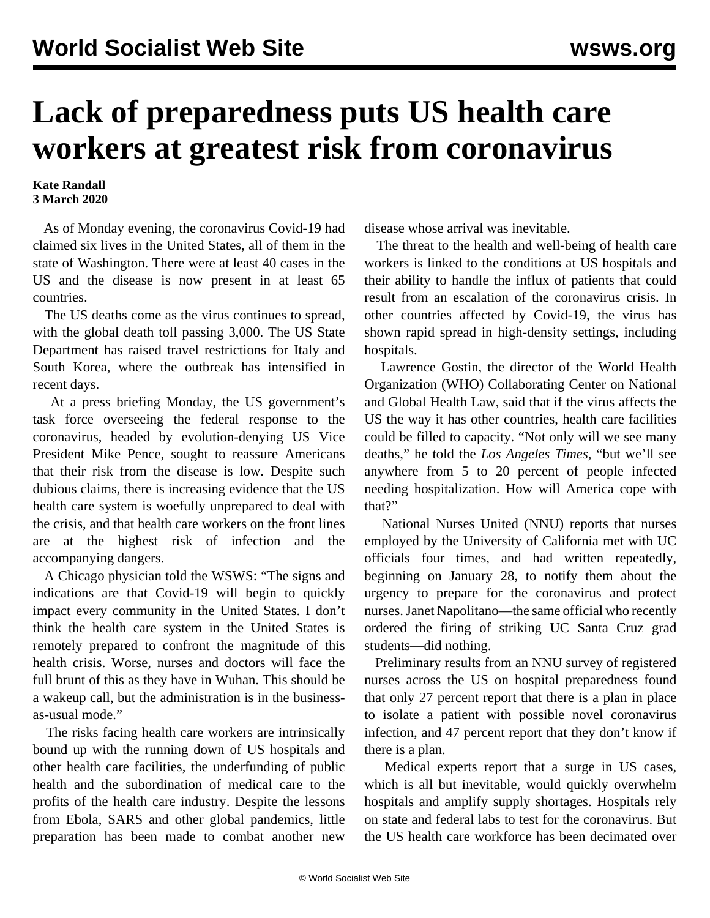## **Lack of preparedness puts US health care workers at greatest risk from coronavirus**

## **Kate Randall 3 March 2020**

 As of Monday evening, the coronavirus Covid-19 had claimed six lives in the United States, all of them in the state of Washington. There were at least 40 cases in the US and the disease is now present in at least 65 countries.

 The US deaths come as the virus continues to spread, with the global death toll passing 3,000. The US State Department has raised travel restrictions for Italy and South Korea, where the outbreak has intensified in recent days.

 At a press briefing Monday, the US government's task force overseeing the federal response to the coronavirus, headed by evolution-denying US Vice President Mike Pence, sought to reassure Americans that their risk from the disease is low. Despite such dubious claims, there is increasing evidence that the US health care system is woefully unprepared to deal with the crisis, and that health care workers on the front lines are at the highest risk of infection and the accompanying dangers.

 A Chicago physician told the WSWS: "The signs and indications are that Covid-19 will begin to quickly impact every community in the United States. I don't think the health care system in the United States is remotely prepared to confront the magnitude of this health crisis. Worse, nurses and doctors will face the full brunt of this as they have in Wuhan. This should be a wakeup call, but the administration is in the businessas-usual mode."

 The risks facing health care workers are intrinsically bound up with the running down of US hospitals and other health care facilities, the underfunding of public health and the subordination of medical care to the profits of the health care industry. Despite the lessons from Ebola, SARS and other global pandemics, little preparation has been made to combat another new disease whose arrival was inevitable.

 The threat to the health and well-being of health care workers is linked to the conditions at US hospitals and their ability to handle the influx of patients that could result from an escalation of the coronavirus crisis. In other countries affected by Covid-19, the virus has shown rapid spread in high-density settings, including hospitals.

 Lawrence Gostin, the director of the World Health Organization (WHO) Collaborating Center on National and Global Health Law, said that if the virus affects the US the way it has other countries, health care facilities could be filled to capacity. "Not only will we see many deaths," he told the *Los Angeles Times*, "but we'll see anywhere from 5 to 20 percent of people infected needing hospitalization. How will America cope with that?"

 National Nurses United (NNU) reports that nurses employed by the University of California met with UC officials four times, and had written repeatedly, beginning on January 28, to notify them about the urgency to prepare for the coronavirus and protect nurses. Janet Napolitano—the same official who recently ordered the firing of striking UC Santa Cruz grad students—did nothing.

 Preliminary results from an NNU survey of registered nurses across the US on hospital preparedness found that only 27 percent report that there is a plan in place to isolate a patient with possible novel coronavirus infection, and 47 percent report that they don't know if there is a plan.

 Medical experts report that a surge in US cases, which is all but inevitable, would quickly overwhelm hospitals and amplify supply shortages. Hospitals rely on state and federal labs to test for the coronavirus. But the US health care workforce has been decimated over